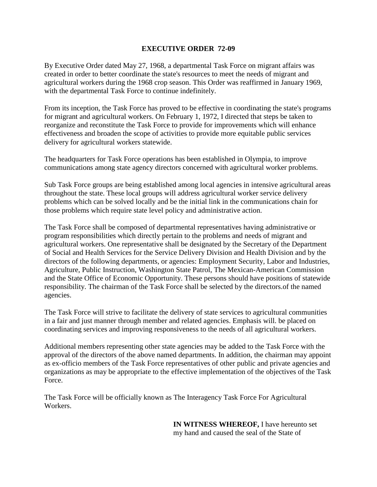## **EXECUTIVE ORDER 72-09**

By Executive Order dated May 27, 1968, a departmental Task Force on migrant affairs was created in order to better coordinate the state's resources to meet the needs of migrant and agricultural workers during the 1968 crop season. This Order was reaffirmed in January 1969, with the departmental Task Force to continue indefinitely.

From its inception, the Task Force has proved to be effective in coordinating the state's programs for migrant and agricultural workers. On February 1, 1972, I directed that steps be taken to reorganize and reconstitute the Task Force to provide for improvements which will enhance effectiveness and broaden the scope of activities to provide more equitable public services delivery for agricultural workers statewide.

The headquarters for Task Force operations has been established in Olympia, to improve communications among state agency directors concerned with agricultural worker problems.

Sub Task Force groups are being established among local agencies in intensive agricultural areas throughout the state. These local groups will address agricultural worker service delivery problems which can be solved locally and be the initial link in the communications chain for those problems which require state level policy and administrative action.

The Task Force shall be composed of departmental representatives having administrative or program responsibilities which directly pertain to the problems and needs of migrant and agricultural workers. One representative shall be designated by the Secretary of the Department of Social and Health Services for the Service Delivery Division and Health Division and by the directors of the following departments, or agencies: Employment Security, Labor and Industries, Agriculture, Public Instruction, Washington State Patrol, The Mexican-American Commission and the State Office of Economic Opportunity. These persons should have positions of statewide responsibility. The chairman of the Task Force shall be selected by the directors.of the named agencies.

The Task Force will strive to facilitate the delivery of state services to agricultural communities in a fair and just manner through member and related agencies. Emphasis will. be placed on coordinating services and improving responsiveness to the needs of all agricultural workers.

Additional members representing other state agencies may be added to the Task Force with the approval of the directors of the above named departments. In addition, the chairman may appoint as ex-officio members of the Task Force representatives of other public and private agencies and organizations as may be appropriate to the effective implementation of the objectives of the Task Force.

The Task Force will be officially known as The Interagency Task Force For Agricultural Workers.

> **IN WITNESS WHEREOF,** I have hereunto set my hand and caused the seal of the State of